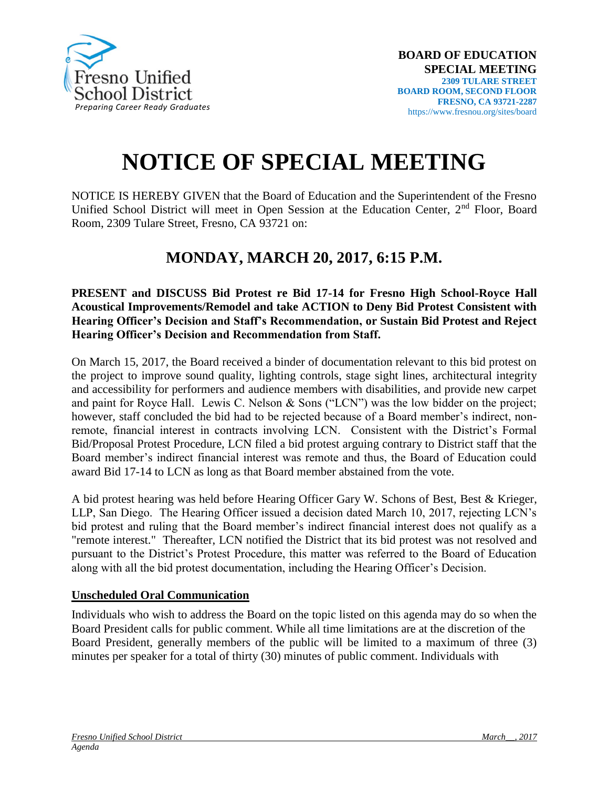

## **NOTICE OF SPECIAL MEETING**

NOTICE IS HEREBY GIVEN that the Board of Education and the Superintendent of the Fresno Unified School District will meet in Open Session at the Education Center,  $2<sup>nd</sup>$  Floor, Board Room, 2309 Tulare Street, Fresno, CA 93721 on:

## **MONDAY, MARCH 20, 2017, 6:15 P.M.**

**PRESENT and DISCUSS Bid Protest re Bid 17-14 for Fresno High School-Royce Hall Acoustical Improvements/Remodel and take ACTION to Deny Bid Protest Consistent with Hearing Officer's Decision and Staff's Recommendation, or Sustain Bid Protest and Reject Hearing Officer's Decision and Recommendation from Staff.**

On March 15, 2017, the Board received a binder of documentation relevant to this bid protest on the project to improve sound quality, lighting controls, stage sight lines, architectural integrity and accessibility for performers and audience members with disabilities, and provide new carpet and paint for Royce Hall. Lewis C. Nelson & Sons ("LCN") was the low bidder on the project; however, staff concluded the bid had to be rejected because of a Board member's indirect, nonremote, financial interest in contracts involving LCN. Consistent with the District's Formal Bid/Proposal Protest Procedure, LCN filed a bid protest arguing contrary to District staff that the Board member's indirect financial interest was remote and thus, the Board of Education could award Bid 17-14 to LCN as long as that Board member abstained from the vote.

A bid protest hearing was held before Hearing Officer Gary W. Schons of Best, Best & Krieger, LLP, San Diego. The Hearing Officer issued a decision dated March 10, 2017, rejecting LCN's bid protest and ruling that the Board member's indirect financial interest does not qualify as a "remote interest." Thereafter, LCN notified the District that its bid protest was not resolved and pursuant to the District's Protest Procedure, this matter was referred to the Board of Education along with all the bid protest documentation, including the Hearing Officer's Decision.

## **Unscheduled Oral Communication**

Individuals who wish to address the Board on the topic listed on this agenda may do so when the Board President calls for public comment. While all time limitations are at the discretion of the Board President, generally members of the public will be limited to a maximum of three (3) minutes per speaker for a total of thirty (30) minutes of public comment. Individuals with